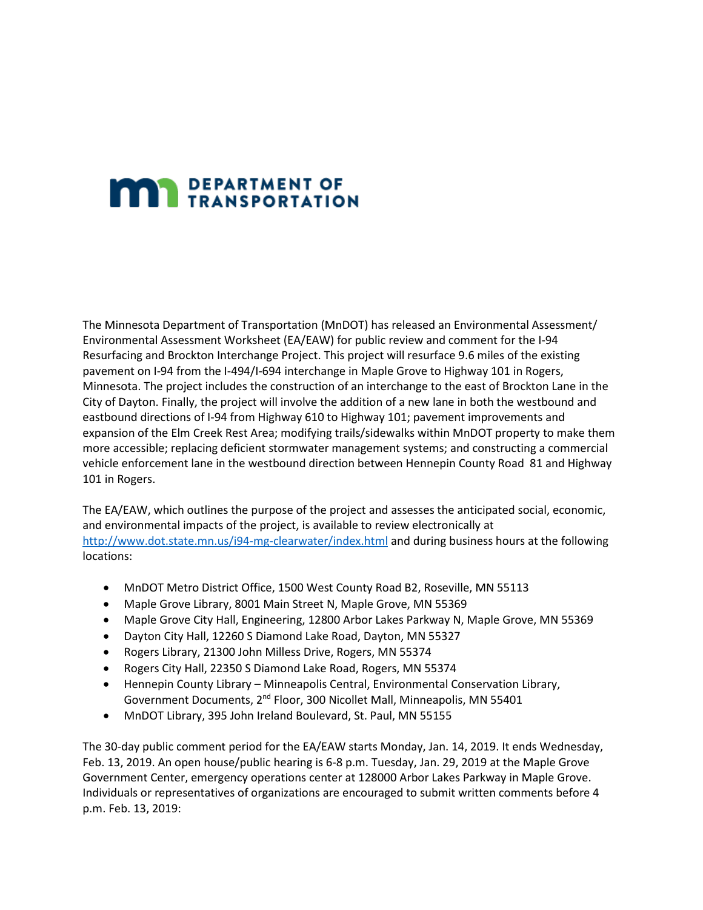## **MAN** DEPARTMENT OF

The Minnesota Department of Transportation (MnDOT) has released an Environmental Assessment/ Environmental Assessment Worksheet (EA/EAW) for public review and comment for the I-94 Resurfacing and Brockton Interchange Project. This project will resurface 9.6 miles of the existing pavement on I-94 from the I-494/I-694 interchange in Maple Grove to Highway 101 in Rogers, Minnesota. The project includes the construction of an interchange to the east of Brockton Lane in the City of Dayton. Finally, the project will involve the addition of a new lane in both the westbound and eastbound directions of I-94 from Highway 610 to Highway 101; pavement improvements and expansion of the Elm Creek Rest Area; modifying trails/sidewalks within MnDOT property to make them more accessible; replacing deficient stormwater management systems; and constructing a commercial vehicle enforcement lane in the westbound direction between Hennepin County Road 81 and Highway 101 in Rogers.

The EA/EAW, which outlines the purpose of the project and assesses the anticipated social, economic, and environmental impacts of the project, is available to review electronically at [http://www.dot.state.mn.us/i94-mg-clearwater/index.html](https://protect-us.mimecast.com/s/6RCqCL9Y66FAAx7cB7cpN?domain=dot.state.mn.us) and during business hours at the following locations:

- MnDOT Metro District Office, 1500 West County Road B2, Roseville, MN 55113
- Maple Grove Library, 8001 Main Street N, Maple Grove, MN 55369
- Maple Grove City Hall, Engineering, 12800 Arbor Lakes Parkway N, Maple Grove, MN 55369
- Dayton City Hall, 12260 S Diamond Lake Road, Dayton, MN 55327
- Rogers Library, 21300 John Milless Drive, Rogers, MN 55374
- Rogers City Hall, 22350 S Diamond Lake Road, Rogers, MN 55374
- Hennepin County Library Minneapolis Central, Environmental Conservation Library, Government Documents, 2<sup>nd</sup> Floor, 300 Nicollet Mall, Minneapolis, MN 55401
- MnDOT Library, 395 John Ireland Boulevard, St. Paul, MN 55155

The 30-day public comment period for the EA/EAW starts Monday, Jan. 14, 2019. It ends Wednesday, Feb. 13, 2019. An open house/public hearing is 6-8 p.m. Tuesday, Jan. 29, 2019 at the Maple Grove Government Center, emergency operations center at 128000 Arbor Lakes Parkway in Maple Grove. Individuals or representatives of organizations are encouraged to submit written comments before 4 p.m. Feb. 13, 2019: